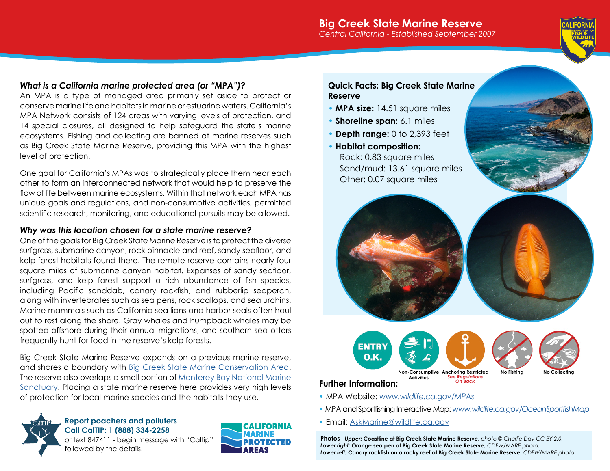## **Big Creek State Marine Reserve** *Central California - Established September 2007*



## *What is a California marine protected area (or "MPA")?*

An MPA is a type of managed area primarily set aside to protect or conserve marine life and habitats in marine or estuarine waters. California's MPA Network consists of 124 areas with varying levels of protection, and 14 special closures, all designed to help safeguard the state's marine ecosystems. Fishing and collecting are banned at marine reserves such as Big Creek State Marine Reserve, providing this MPA with the highest level of protection.

One goal for California's MPAs was to strategically place them near each other to form an interconnected network that would help to preserve the flow of life between marine ecosystems. Within that network each MPA has unique goals and regulations, and non-consumptive activities, permitted scientific research, monitoring, and educational pursuits may be allowed.

## *Why was this location chosen for a state marine reserve?*

One of the goals for Big Creek State Marine Reserve is to protect the diverse surfgrass, submarine canyon, rock pinnacle and reef, sandy seafloor, and kelp forest habitats found there. The remote reserve contains nearly four square miles of submarine canyon habitat. Expanses of sandy seafloor, surfgrass, and kelp forest support a rich abundance of fish species, including Pacific sanddab, canary rockfish, and rubberlip seaperch, along with invertebrates such as sea pens, rock scallops, and sea urchins. Marine mammals such as California sea lions and harbor seals often haul out to rest along the shore. Gray whales and humpback whales may be spotted offshore during their annual migrations, and southern sea otters frequently hunt for food in the reserve's kelp forests.

Big Creek State Marine Reserve expands on a previous marine reserve, and shares a boundary with [Big Creek State Marine Conservation Area](https://nrm.dfg.ca.gov/FileHandler.ashx?DocumentID=96766&inline). The reserve also overlaps a small portion of [Monterey Bay National Marine](https://montereybay.noaa.gov/)  [Sanctuary.](https://montereybay.noaa.gov/) Placing a state marine reserve here provides very high levels of protection for local marine species and the habitats they use.



## **Report poachers and polluters Call CalTIP: 1 (888) 334-2258**





## **Quick Facts: Big Creek State Marine Reserve**

- **MPA size:** 14.51 square miles
- **Shoreline span:** 6.1 miles
- **Depth range:** 0 to 2,393 feet
- **Habitat composition:** Rock: 0.83 square miles Sand/mud: 13.61 square miles Other: 0.07 square miles



- MPA Website: *[www.wildlife.ca.gov/MPAs](https://www.wildlife.ca.gov/MPAs)*
- MPA and Sportfishing Interactive Map: *[www.wildlife.ca.gov/OceanSportfishMap](https://www.wildlife.ca.gov/OceanSportfishMap)*
- Email: [AskMarine@wildlife.ca.gov](mailto:AskMarine%40wildlife.ca.gov?subject=)

**Photos** *- Upper:* **Coastline at Big Creek State Marine Reserve**, *photo © Charlie Day CC BY 2.0. Lower right:* **Orange sea pen at Big Creek State Marine Reserve**, *CDFW/MARE photo. Lower left:* **Canary rockfish on a rocky reef at Big Creek State Marine Reserve**, *CDFW/MARE photo.*